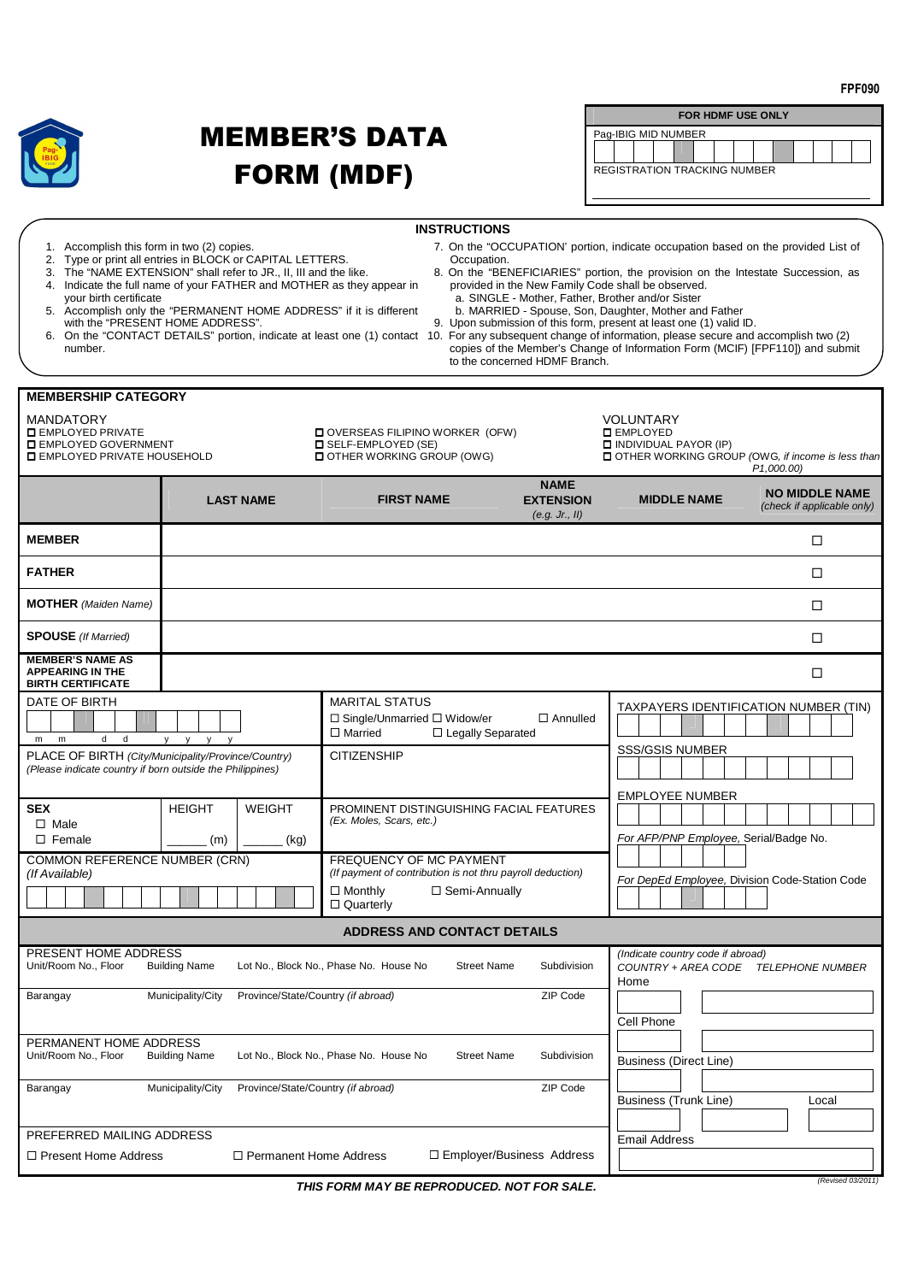

## MEMBER'S DATA FORM (MDF)

| <b>FOR HDMF USE ONLY</b>            |  |  |  |  |  |  |  |  |  |  |  |  |
|-------------------------------------|--|--|--|--|--|--|--|--|--|--|--|--|
| Pag-IBIG MID NUMBER                 |  |  |  |  |  |  |  |  |  |  |  |  |
|                                     |  |  |  |  |  |  |  |  |  |  |  |  |
| <b>REGISTRATION TRACKING NUMBER</b> |  |  |  |  |  |  |  |  |  |  |  |  |
|                                     |  |  |  |  |  |  |  |  |  |  |  |  |

| <b>INSTRUCTIONS</b><br>7. On the "OCCUPATION" portion, indicate occupation based on the provided List of<br>1. Accomplish this form in two (2) copies.<br>2. Type or print all entries in BLOCK or CAPITAL LETTERS.<br>Occupation.<br>3. The "NAME EXTENSION" shall refer to JR., II, III and the like.<br>8. On the "BENEFICIARIES" portion, the provision on the Intestate Succession, as<br>4. Indicate the full name of your FATHER and MOTHER as they appear in<br>provided in the New Family Code shall be observed.<br>a. SINGLE - Mother, Father, Brother and/or Sister<br>vour birth certificate<br>5. Accomplish only the "PERMANENT HOME ADDRESS" if it is different<br>b. MARRIED - Spouse, Son, Daughter, Mother and Father<br>with the "PRESENT HOME ADDRESS".<br>9. Upon submission of this form, present at least one (1) valid ID.<br>6. On the "CONTACT DETAILS" portion, indicate at least one (1) contact 10. For any subsequent change of information, please secure and accomplish two (2)<br>copies of the Member's Change of Information Form (MCIF) [FPF110]) and submit<br>number.<br>to the concerned HDMF Branch. |                                                                |                                                                                                                                                       |                                 |                                                                                                                                                                                                |                            |  |  |  |
|-----------------------------------------------------------------------------------------------------------------------------------------------------------------------------------------------------------------------------------------------------------------------------------------------------------------------------------------------------------------------------------------------------------------------------------------------------------------------------------------------------------------------------------------------------------------------------------------------------------------------------------------------------------------------------------------------------------------------------------------------------------------------------------------------------------------------------------------------------------------------------------------------------------------------------------------------------------------------------------------------------------------------------------------------------------------------------------------------------------------------------------------------|----------------------------------------------------------------|-------------------------------------------------------------------------------------------------------------------------------------------------------|---------------------------------|------------------------------------------------------------------------------------------------------------------------------------------------------------------------------------------------|----------------------------|--|--|--|
| <b>MEMBERSHIP CATEGORY</b><br><b>MANDATORY</b><br><b>DEMPLOYED PRIVATE</b><br><b>IL EMPLOYED GOVERNMENT</b><br><b>LI EMPLOYED PRIVATE HOUSEHOLD</b>                                                                                                                                                                                                                                                                                                                                                                                                                                                                                                                                                                                                                                                                                                                                                                                                                                                                                                                                                                                           |                                                                | OVERSEAS FILIPINO WORKER (OFW)<br><b>LI SELF-EMPLOYED (SE)</b><br><b>I OTHER WORKING GROUP (OWG)</b><br><b>FIRST NAME</b>                             | <b>NAME</b><br><b>EXTENSION</b> | VOLUNTARY<br><b>O</b> EMPLOYED<br>$\Box$ INDIVIDUAL PAYOR (IP)<br>□ OTHER WORKING GROUP (OWG, if income is less than<br>P <sub>1</sub> ,000.00)<br><b>NO MIDDLE NAME</b><br><b>MIDDLE NAME</b> |                            |  |  |  |
|                                                                                                                                                                                                                                                                                                                                                                                                                                                                                                                                                                                                                                                                                                                                                                                                                                                                                                                                                                                                                                                                                                                                               | <b>LAST NAME</b>                                               |                                                                                                                                                       | (e.g. Jr., II)                  |                                                                                                                                                                                                | (check if applicable only) |  |  |  |
| <b>MEMBER</b>                                                                                                                                                                                                                                                                                                                                                                                                                                                                                                                                                                                                                                                                                                                                                                                                                                                                                                                                                                                                                                                                                                                                 |                                                                |                                                                                                                                                       |                                 |                                                                                                                                                                                                | □                          |  |  |  |
| <b>FATHER</b>                                                                                                                                                                                                                                                                                                                                                                                                                                                                                                                                                                                                                                                                                                                                                                                                                                                                                                                                                                                                                                                                                                                                 |                                                                |                                                                                                                                                       |                                 |                                                                                                                                                                                                | □                          |  |  |  |
| <b>MOTHER</b> (Maiden Name)                                                                                                                                                                                                                                                                                                                                                                                                                                                                                                                                                                                                                                                                                                                                                                                                                                                                                                                                                                                                                                                                                                                   |                                                                |                                                                                                                                                       |                                 |                                                                                                                                                                                                | □                          |  |  |  |
| <b>SPOUSE</b> (If Married)                                                                                                                                                                                                                                                                                                                                                                                                                                                                                                                                                                                                                                                                                                                                                                                                                                                                                                                                                                                                                                                                                                                    |                                                                |                                                                                                                                                       |                                 |                                                                                                                                                                                                | □                          |  |  |  |
| <b>MEMBER'S NAME AS</b><br><b>APPEARING IN THE</b><br><b>BIRTH CERTIFICATE</b>                                                                                                                                                                                                                                                                                                                                                                                                                                                                                                                                                                                                                                                                                                                                                                                                                                                                                                                                                                                                                                                                |                                                                |                                                                                                                                                       |                                 |                                                                                                                                                                                                | □                          |  |  |  |
| DATE OF BIRTH<br>d -<br>d<br>m<br>m<br>PLACE OF BIRTH (City/Municipality/Province/Country)                                                                                                                                                                                                                                                                                                                                                                                                                                                                                                                                                                                                                                                                                                                                                                                                                                                                                                                                                                                                                                                    | $y \quad y \quad y$                                            | <b>MARITAL STATUS</b><br>$\Box$ Single/Unmarried $\Box$ Widow/er<br>$\Box$ Married<br>$\Box$ Legally Separated<br><b>CITIZENSHIP</b>                  | $\Box$ Annulled                 | TAXPAYERS IDENTIFICATION NUMBER (TIN)<br><b>SSS/GSIS NUMBER</b><br><b>EMPLOYEE NUMBER</b>                                                                                                      |                            |  |  |  |
| (Please indicate country if born outside the Philippines)                                                                                                                                                                                                                                                                                                                                                                                                                                                                                                                                                                                                                                                                                                                                                                                                                                                                                                                                                                                                                                                                                     |                                                                |                                                                                                                                                       |                                 |                                                                                                                                                                                                |                            |  |  |  |
| <b>SEX</b><br>$\Box$ Male<br>$\square$ Female                                                                                                                                                                                                                                                                                                                                                                                                                                                                                                                                                                                                                                                                                                                                                                                                                                                                                                                                                                                                                                                                                                 | <b>HEIGHT</b><br><b>WEIGHT</b><br>(m)<br>(kg)                  | PROMINENT DISTINGUISHING FACIAL FEATURES<br>(Ex. Moles, Scars, etc.)                                                                                  |                                 | For AFP/PNP Employee, Serial/Badge No.                                                                                                                                                         |                            |  |  |  |
| COMMON REFERENCE NUMBER (CRN)<br>(If Available)                                                                                                                                                                                                                                                                                                                                                                                                                                                                                                                                                                                                                                                                                                                                                                                                                                                                                                                                                                                                                                                                                               |                                                                | <b>FREQUENCY OF MC PAYMENT</b><br>(If payment of contribution is not thru payroll deduction)<br>$\Box$ Monthly<br>□ Semi-Annually<br>$\Box$ Quarterly |                                 | For DepEd Employee, Division Code-Station Code                                                                                                                                                 |                            |  |  |  |
|                                                                                                                                                                                                                                                                                                                                                                                                                                                                                                                                                                                                                                                                                                                                                                                                                                                                                                                                                                                                                                                                                                                                               |                                                                | <b>ADDRESS AND CONTACT DETAILS</b>                                                                                                                    |                                 |                                                                                                                                                                                                |                            |  |  |  |
| PRESENT HOME ADDRESS<br>Unit/Room No., Floor                                                                                                                                                                                                                                                                                                                                                                                                                                                                                                                                                                                                                                                                                                                                                                                                                                                                                                                                                                                                                                                                                                  | <b>Building Name</b><br>Lot No., Block No., Phase No. House No | (Indicate country code if abroad)<br>COUNTRY + AREA CODE TELEPHONE NUMBER<br>Home                                                                     |                                 |                                                                                                                                                                                                |                            |  |  |  |
| Barangay                                                                                                                                                                                                                                                                                                                                                                                                                                                                                                                                                                                                                                                                                                                                                                                                                                                                                                                                                                                                                                                                                                                                      | Province/State/Country (if abroad)<br>Municipality/City        |                                                                                                                                                       | ZIP Code                        | Cell Phone                                                                                                                                                                                     |                            |  |  |  |
| PERMANENT HOME ADDRESS<br>Unit/Room No., Floor                                                                                                                                                                                                                                                                                                                                                                                                                                                                                                                                                                                                                                                                                                                                                                                                                                                                                                                                                                                                                                                                                                | <b>Building Name</b>                                           | Lot No., Block No., Phase No. House No<br><b>Street Name</b>                                                                                          | Subdivision                     | <b>Business (Direct Line)</b>                                                                                                                                                                  |                            |  |  |  |
| Barangay                                                                                                                                                                                                                                                                                                                                                                                                                                                                                                                                                                                                                                                                                                                                                                                                                                                                                                                                                                                                                                                                                                                                      | Municipality/City<br>Province/State/Country (if abroad)        |                                                                                                                                                       | ZIP Code                        | Business (Trunk Line)                                                                                                                                                                          | Local                      |  |  |  |
| PREFERRED MAILING ADDRESS<br>$\Box$ Present Home Address                                                                                                                                                                                                                                                                                                                                                                                                                                                                                                                                                                                                                                                                                                                                                                                                                                                                                                                                                                                                                                                                                      | $\Box$ Permanent Home Address                                  | <b>Email Address</b>                                                                                                                                  |                                 |                                                                                                                                                                                                |                            |  |  |  |
|                                                                                                                                                                                                                                                                                                                                                                                                                                                                                                                                                                                                                                                                                                                                                                                                                                                                                                                                                                                                                                                                                                                                               | THIS FORM MAY BE REPRODUCED. NOT FOR SALE.                     |                                                                                                                                                       | (Revised 03/2011)               |                                                                                                                                                                                                |                            |  |  |  |

**FPF090**